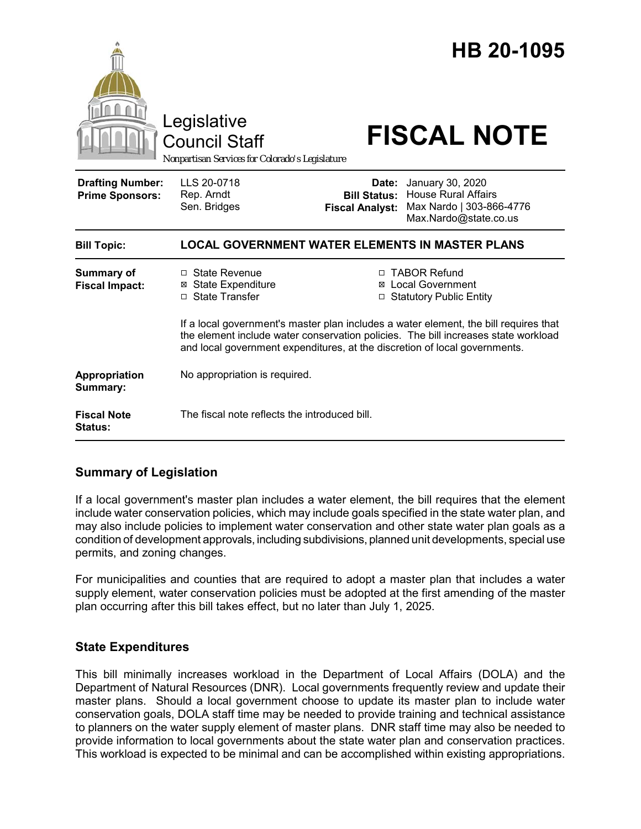|                                                   | Legislative<br><b>Council Staff</b><br>Nonpartisan Services for Colorado's Legislature                                                                                                                                                                   |                                                        | HB 20-1095<br><b>FISCAL NOTE</b>                                                                    |  |
|---------------------------------------------------|----------------------------------------------------------------------------------------------------------------------------------------------------------------------------------------------------------------------------------------------------------|--------------------------------------------------------|-----------------------------------------------------------------------------------------------------|--|
| <b>Drafting Number:</b><br><b>Prime Sponsors:</b> | LLS 20-0718<br>Rep. Arndt<br>Sen. Bridges                                                                                                                                                                                                                | Date:<br><b>Bill Status:</b><br><b>Fiscal Analyst:</b> | January 30, 2020<br><b>House Rural Affairs</b><br>Max Nardo   303-866-4776<br>Max.Nardo@state.co.us |  |
| <b>Bill Topic:</b>                                | <b>LOCAL GOVERNMENT WATER ELEMENTS IN MASTER PLANS</b>                                                                                                                                                                                                   |                                                        |                                                                                                     |  |
| <b>Summary of</b><br><b>Fiscal Impact:</b>        | $\Box$ State Revenue<br><b>⊠</b> State Expenditure<br>□ State Transfer                                                                                                                                                                                   |                                                        | □ TABOR Refund<br>⊠ Local Government<br>□ Statutory Public Entity                                   |  |
|                                                   | If a local government's master plan includes a water element, the bill requires that<br>the element include water conservation policies. The bill increases state workload<br>and local government expenditures, at the discretion of local governments. |                                                        |                                                                                                     |  |
| Appropriation<br>Summary:                         | No appropriation is required.                                                                                                                                                                                                                            |                                                        |                                                                                                     |  |
| <b>Fiscal Note</b><br><b>Status:</b>              | The fiscal note reflects the introduced bill.                                                                                                                                                                                                            |                                                        |                                                                                                     |  |

## **Summary of Legislation**

If a local government's master plan includes a water element, the bill requires that the element include water conservation policies, which may include goals specified in the state water plan, and may also include policies to implement water conservation and other state water plan goals as a condition of development approvals, including subdivisions, planned unit developments, special use permits, and zoning changes.

For municipalities and counties that are required to adopt a master plan that includes a water supply element, water conservation policies must be adopted at the first amending of the master plan occurring after this bill takes effect, but no later than July 1, 2025.

## **State Expenditures**

This bill minimally increases workload in the Department of Local Affairs (DOLA) and the Department of Natural Resources (DNR). Local governments frequently review and update their master plans. Should a local government choose to update its master plan to include water conservation goals, DOLA staff time may be needed to provide training and technical assistance to planners on the water supply element of master plans. DNR staff time may also be needed to provide information to local governments about the state water plan and conservation practices. This workload is expected to be minimal and can be accomplished within existing appropriations.